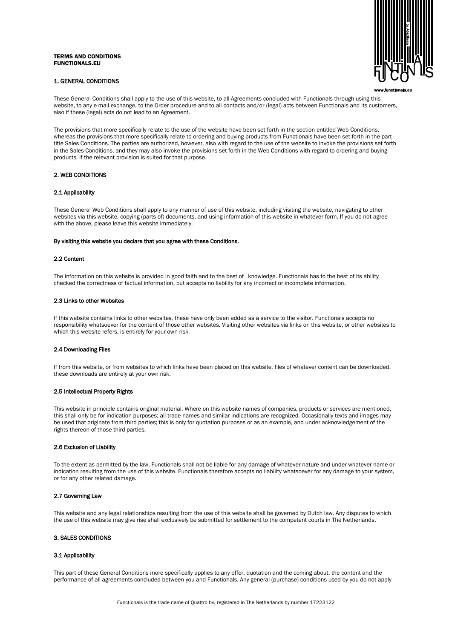# TERMS AND CONDITIONS FUNCTIONALS.EU

# 1. GENERAL CONDITIONS



These General Conditions shall apply to the use of this website, to all Agreements concluded with Functionals through using this website, to any e-mail exchange, to the Order procedure and to all contacts and/or (legal) acts between Functionals and its customers, also if these (legal) acts do not lead to an Agreement.

The provisions that more specifically relate to the use of the website have been set forth in the section entitled Web Conditions, whereas the provisions that more specifically relate to ordering and buying products from Functionals have been set forth in the part title Sales Conditions. The parties are authorized, however, also with regard to the use of the website to invoke the provisions set forth in the Sales Conditions, and they may also invoke the provisions set forth in the Web Conditions with regard to ordering and buying products, if the relevant provision is suited for that purpose.

# 2. WEB CONDITIONS

# 2.1 Applicability

These General Web Conditions shall apply to any manner of use of this website, including visiting the website, navigating to other websites via this website, copying (parts of) documents, and using information of this website in whatever form. If you do not agree with the above, please leave this website immediately.

#### By visiting this website you declare that you agree with these Conditions.

#### 2.2 Content

The information on this website is provided in good faith and to the best of ' knowledge. Functionals has to the best of its ability checked the correctness of factual information, but accepts no liability for any incorrect or incomplete information.

## 2.3 Links to other Websites

If this website contains links to other websites, these have only been added as a service to the visitor. Functionals accepts no responsibility whatsoever for the content of those other websites. Visiting other websites via links on this website, or other websites to which this website refers, is entirely for your own risk.

## 2.4 Downloading Files

If from this website, or from websites to which links have been placed on this website, files of whatever content can be downloaded, these downloads are entirely at your own risk.

# 2.5 Intellectual Property Rights

This website in principle contains original material. Where on this website names of companies, products or services are mentioned, this shall only be for indication purposes; all trade names and similar indications are recognized. Occasionally texts and images may be used that originate from third parties; this is only for quotation purposes or as an example, and under acknowledgement of the rights thereon of those third parties.

# 2.6 Exclusion of Liability

To the extent as permitted by the law, Functionals shall not be liable for any damage of whatever nature and under whatever name or indication resulting from the use of this website. Functionals therefore accepts no liability whatsoever for any damage to your system, or for any other related damage.

# 2.7 Governing Law

This website and any legal relationships resulting from the use of this website shall be governed by Dutch law. Any disputes to which the use of this website may give rise shall exclusively be submitted for settlement to the competent courts in The Netherlands.

# 3. SALES CONDITIONS

## 3.1 Applicability

This part of these General Conditions more specifically applies to any offer, quotation and the coming about, the content and the performance of all agreements concluded between you and Functionals. Any general (purchase) conditions used by you do not apply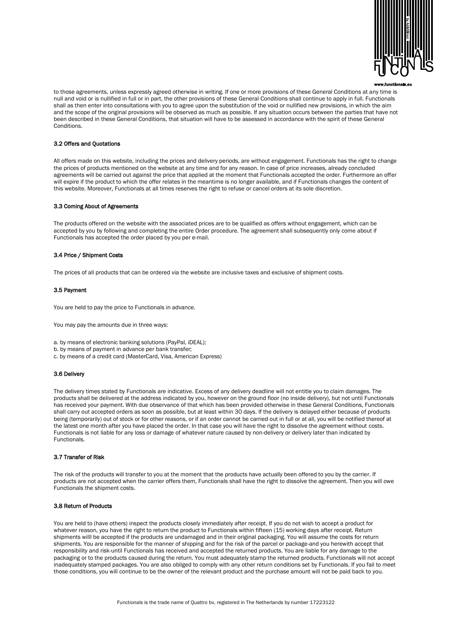

to those agreements, unless expressly agreed otherwise in writing. If one or more provisions of these General Conditions at any time is null and void or is nullified in full or in part, the other provisions of these General Conditions shall continue to apply in full. Functionals shall as then enter into consultations with you to agree upon the substitution of the void or nullified new provisions, in which the aim and the scope of the original provisions will be observed as much as possible. If any situation occurs between the parties that have not been described in these General Conditions, that situation will have to be assessed in accordance with the spirit of these General Conditions.

# 3.2 Offers and Quotations

All offers made on this website, including the prices and delivery periods, are without engagement. Functionals has the right to change the prices of products mentioned on the website at any time and for any reason. In case of price increases, already concluded agreements will be carried out against the price that applied at the moment that Functionals accepted the order. Furthermore an offer will expire if the product to which the offer relates in the meantime is no longer available, and if Functionals changes the content of this website. Moreover, Functionals at all times reserves the right to refuse or cancel orders at its sole discretion.

# 3.3 Coming About of Agreements

The products offered on the website with the associated prices are to be qualified as offers without engagement, which can be accepted by you by following and completing the entire Order procedure. The agreement shall subsequently only come about if Functionals has accepted the order placed by you per e-mail.

# 3.4 Price / Shipment Costs

The prices of all products that can be ordered via the website are inclusive taxes and exclusive of shipment costs.

# 3.5 Payment

You are held to pay the price to Functionals in advance.

You may pay the amounts due in three ways:

- a. by means of electronic banking solutions (PayPal, iDEAL);
- b. by means of payment in advance per bank transfer;
- c. by means of a credit card (MasterCard, Visa, American Express)

#### 3.6 Delivery

The delivery times stated by Functionals are indicative. Excess of any delivery deadline will not entitle you to claim damages. The products shall be delivered at the address indicated by you, however on the ground floor (no inside delivery), but not until Functionals has received your payment. With due observance of that which has been provided otherwise in these General Conditions, Functionals shall carry out accepted orders as soon as possible, but at least within 30 days. If the delivery is delayed either because of products being (temporarily) out of stock or for other reasons, or if an order cannot be carried out in full or at all, you will be notified thereof at the latest one month after you have placed the order. In that case you will have the right to dissolve the agreement without costs. Functionals is not liable for any loss or damage of whatever nature caused by non-delivery or delivery later than indicated by **Functionals.** 

## 3.7 Transfer of Risk

The risk of the products will transfer to you at the moment that the products have actually been offered to you by the carrier. If products are not accepted when the carrier offers them, Functionals shall have the right to dissolve the agreement. Then you will owe Functionals the shipment costs.

# 3.8 Return of Products

You are held to (have others) inspect the products closely immediately after receipt. If you do not wish to accept a product for whatever reason, you have the right to return the product to Functionals within fifteen (15) working days after receipt. Return shipments willl be accepted if the products are undamaged and in their original packaging. You will assume the costs for return shipments. You are responsible for the manner of shipping and for the risk of the parcel or package-and you herewith accept that responsibility and risk-until Functionals has received and accepted the returned products. You are liable for any damage to the packaging or to the products caused during the return. You must adequately stamp the returned products. Functionals will not accept inadequately stamped packages. You are also obliged to comply with any other return conditions set by Functionals. If you fail to meet those conditions, you will continue to be the owner of the relevant product and the purchase amount will not be paid back to you.